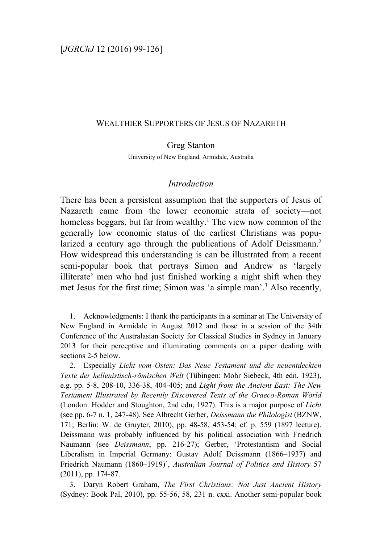## WEALTHIER SUPPORTERS OF JESUS OF NAZARETH

## Greg Stanton

University of New England, Armidale, Australia

## *Introduction*

There has been a persistent assumption that the supporters of Jesus of Nazareth came from the lower economic strata of society—not homeless beggars, but far from wealthy.<sup>1</sup> The view now common of the generally low economic status of the earliest Christians was popularized a century ago through the publications of Adolf Deissmann.<sup>2</sup> How widespread this understanding is can be illustrated from a recent semi-popular book that portrays Simon and Andrew as 'largely illiterate' men who had just finished working a night shift when they met Jesus for the first time; Simon was 'a simple man'.3 Also recently,

1. Acknowledgments: I thank the participants in a seminar at The University of New England in Armidale in August 2012 and those in a session of the 34th Conference of the Australasian Society for Classical Studies in Sydney in January 2013 for their perceptive and illuminating comments on a paper dealing with sections 2-5 below.

2. Especially *Licht vom Osten: Das Neue Testament und die neuentdeckten Texte der hellenistisch-römischen Welt* (Tübingen: Mohr Siebeck, 4th edn, 1923), e.g. pp. 5-8, 208-10, 336-38, 404-405; and *Light from the Ancient East: The New Testament Illustrated by Recently Discovered Texts of the Graeco-Roman World* (London: Hodder and Stoughton, 2nd edn, 1927). This is a major purpose of *Licht* (see pp. 6-7 n. 1, 247-48). See Albrecht Gerber, *Deissmann the Philologist* (BZNW, 171; Berlin: W. de Gruyter, 2010), pp. 48-58, 453-54; cf. p. 559 (1897 lecture). Deissmann was probably influenced by his political association with Friedrich Naumann (see *Deissmann*, pp. 216-27); Gerber, 'Protestantism and Social Liberalism in Imperial Germany: Gustav Adolf Deissmann (1866–1937) and Friedrich Naumann (1860–1919)', *Australian Journal of Politics and History* 57 (2011), pp. 174-87.

3. Daryn Robert Graham, *The First Christians: Not Just Ancient History* (Sydney: Book Pal, 2010), pp. 55-56, 58, 231 n. cxxi. Another semi-popular book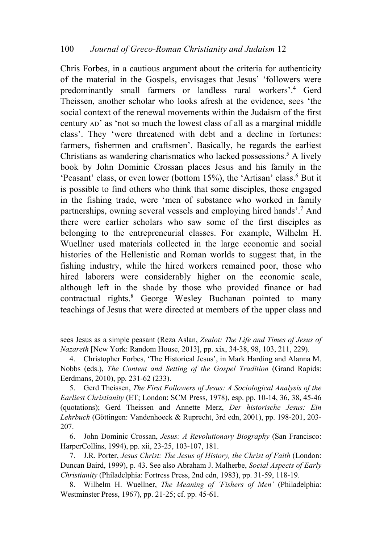Chris Forbes, in a cautious argument about the criteria for authenticity of the material in the Gospels, envisages that Jesus' 'followers were predominantly small farmers or landless rural workers'.4 Gerd Theissen, another scholar who looks afresh at the evidence, sees 'the social context of the renewal movements within the Judaism of the first century AD' as 'not so much the lowest class of all as a marginal middle class'. They 'were threatened with debt and a decline in fortunes: farmers, fishermen and craftsmen'. Basically, he regards the earliest Christians as wandering charismatics who lacked possessions. <sup>5</sup> A lively book by John Dominic Crossan places Jesus and his family in the 'Peasant' class, or even lower (bottom 15%), the 'Artisan' class. <sup>6</sup> But it is possible to find others who think that some disciples, those engaged in the fishing trade, were 'men of substance who worked in family partnerships, owning several vessels and employing hired hands'.7 And there were earlier scholars who saw some of the first disciples as belonging to the entrepreneurial classes. For example, Wilhelm H. Wuellner used materials collected in the large economic and social histories of the Hellenistic and Roman worlds to suggest that, in the fishing industry, while the hired workers remained poor, those who hired laborers were considerably higher on the economic scale, although left in the shade by those who provided finance or had contractual rights. <sup>8</sup> George Wesley Buchanan pointed to many teachings of Jesus that were directed at members of the upper class and

sees Jesus as a simple peasant (Reza Aslan, *Zealot: The Life and Times of Jesus of Nazareth* [New York: Random House, 2013], pp. xix, 34-38, 98, 103, 211, 229).

4. Christopher Forbes, 'The Historical Jesus', in Mark Harding and Alanna M. Nobbs (eds.), *The Content and Setting of the Gospel Tradition* (Grand Rapids: Eerdmans, 2010), pp. 231-62 (233).

5. Gerd Theissen, *The First Followers of Jesus: A Sociological Analysis of the Earliest Christianity* (ET; London: SCM Press, 1978), esp. pp. 10-14, 36, 38, 45-46 (quotations); Gerd Theissen and Annette Merz, *Der historische Jesus: Ein Lehrbuch* (Göttingen: Vandenhoeck & Ruprecht, 3rd edn, 2001), pp. 198-201, 203- 207.

6. John Dominic Crossan, *Jesus: A Revolutionary Biography* (San Francisco: HarperCollins, 1994), pp. xii, 23-25, 103-107, 181.

7. J.R. Porter, *Jesus Christ: The Jesus of History, the Christ of Faith* (London: Duncan Baird, 1999), p. 43. See also Abraham J. Malherbe, *Social Aspects of Early Christianity* (Philadelphia: Fortress Press, 2nd edn, 1983), pp. 31-59, 118-19.

8. Wilhelm H. Wuellner, *The Meaning of 'Fishers of Men'* (Philadelphia: Westminster Press, 1967), pp. 21-25; cf. pp. 45-61.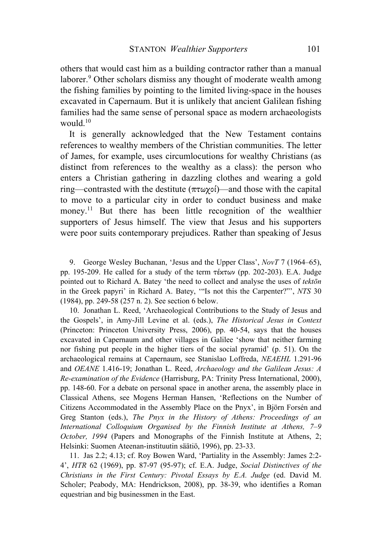others that would cast him as a building contractor rather than a manual laborer.<sup>9</sup> Other scholars dismiss any thought of moderate wealth among the fishing families by pointing to the limited living-space in the houses excavated in Capernaum. But it is unlikely that ancient Galilean fishing families had the same sense of personal space as modern archaeologists would. 10

It is generally acknowledged that the New Testament contains references to wealthy members of the Christian communities. The letter of James, for example, uses circumlocutions for wealthy Christians (as distinct from references to the wealthy as a class): the person who enters a Christian gathering in dazzling clothes and wearing a gold ring—contrasted with the destitute  $(\pi \tau \omega \gamma o)$ —and those with the capital to move to a particular city in order to conduct business and make money.<sup>11</sup> But there has been little recognition of the wealthier supporters of Jesus himself. The view that Jesus and his supporters were poor suits contemporary prejudices. Rather than speaking of Jesus

9. George Wesley Buchanan, 'Jesus and the Upper Class', *NovT* 7 (1964–65), pp. 195-209. He called for a study of the term  $τ$ έκτων (pp. 202-203). E.A. Judge pointed out to Richard A. Batey 'the need to collect and analyse the uses of *tektōn* in the Greek papyri' in Richard A. Batey, '"Is not this the Carpenter?"', *NTS* 30 (1984), pp. 249-58 (257 n. 2). See section 6 below.

10. Jonathan L. Reed, 'Archaeological Contributions to the Study of Jesus and the Gospels', in Amy-Jill Levine et al. (eds.), *The Historical Jesus in Context* (Princeton: Princeton University Press, 2006), pp. 40-54, says that the houses excavated in Capernaum and other villages in Galilee 'show that neither farming nor fishing put people in the higher tiers of the social pyramid' (p. 51). On the archaeological remains at Capernaum, see Stanislao Loffreda, *NEAEHL* 1.291-96 and *OEANE* 1.416-19; Jonathan L. Reed, *Archaeology and the Galilean Jesus: A Re-examination of the Evidence* (Harrisburg, PA: Trinity Press International, 2000), pp. 148-60. For a debate on personal space in another arena, the assembly place in Classical Athens, see Mogens Herman Hansen, 'Reflections on the Number of Citizens Accommodated in the Assembly Place on the Pnyx', in Björn Forsén and Greg Stanton (eds.), *The Pnyx in the History of Athens: Proceedings of an International Colloquium Organised by the Finnish Institute at Athens, 7–9 October, 1994* (Papers and Monographs of the Finnish Institute at Athens, 2; Helsinki: Suomen Ateenan-instituutin säätiö, 1996), pp. 23-33.

11. Jas 2.2; 4.13; cf. Roy Bowen Ward, 'Partiality in the Assembly: James 2:2- 4', *HTR* 62 (1969), pp. 87-97 (95-97); cf. E.A. Judge, *Social Distinctives of the Christians in the First Century: Pivotal Essays by E.A. Judge* (ed. David M. Scholer; Peabody, MA: Hendrickson, 2008), pp. 38-39, who identifies a Roman equestrian and big businessmen in the East.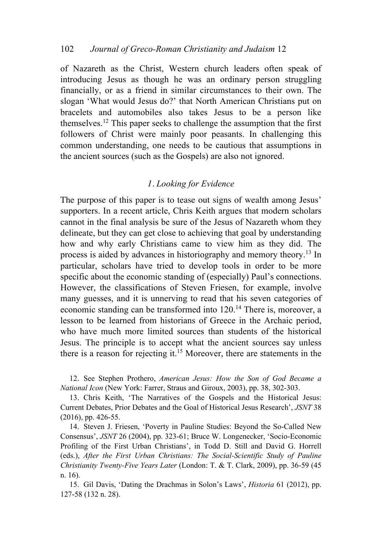of Nazareth as the Christ, Western church leaders often speak of introducing Jesus as though he was an ordinary person struggling financially, or as a friend in similar circumstances to their own. The slogan 'What would Jesus do?' that North American Christians put on bracelets and automobiles also takes Jesus to be a person like themselves.12 This paper seeks to challenge the assumption that the first followers of Christ were mainly poor peasants. In challenging this common understanding, one needs to be cautious that assumptions in the ancient sources (such as the Gospels) are also not ignored.

# *1. Looking for Evidence*

The purpose of this paper is to tease out signs of wealth among Jesus' supporters. In a recent article, Chris Keith argues that modern scholars cannot in the final analysis be sure of the Jesus of Nazareth whom they delineate, but they can get close to achieving that goal by understanding how and why early Christians came to view him as they did. The process is aided by advances in historiography and memory theory.13 In particular, scholars have tried to develop tools in order to be more specific about the economic standing of (especially) Paul's connections. However, the classifications of Steven Friesen, for example, involve many guesses, and it is unnerving to read that his seven categories of economic standing can be transformed into 120.<sup>14</sup> There is, moreover, a lesson to be learned from historians of Greece in the Archaic period, who have much more limited sources than students of the historical Jesus. The principle is to accept what the ancient sources say unless there is a reason for rejecting it.<sup>15</sup> Moreover, there are statements in the

12. See Stephen Prothero, *American Jesus: How the Son of God Became a National Icon* (New York: Farrer, Straus and Giroux, 2003), pp. 38, 302-303.

13. Chris Keith, 'The Narratives of the Gospels and the Historical Jesus: Current Debates, Prior Debates and the Goal of Historical Jesus Research', *JSNT* 38 (2016), pp. 426-55.

14. Steven J. Friesen, 'Poverty in Pauline Studies: Beyond the So-Called New Consensus', *JSNT* 26 (2004), pp. 323-61; Bruce W. Longenecker, 'Socio-Economic Profiling of the First Urban Christians', in Todd D. Still and David G. Horrell (eds.), *After the First Urban Christians: The Social-Scientific Study of Pauline Christianity Twenty-Five Years Later* (London: T. & T. Clark, 2009), pp. 36-59 (45 n. 16).

15. Gil Davis, 'Dating the Drachmas in Solon's Laws', *Historia* 61 (2012), pp. 127-58 (132 n. 28).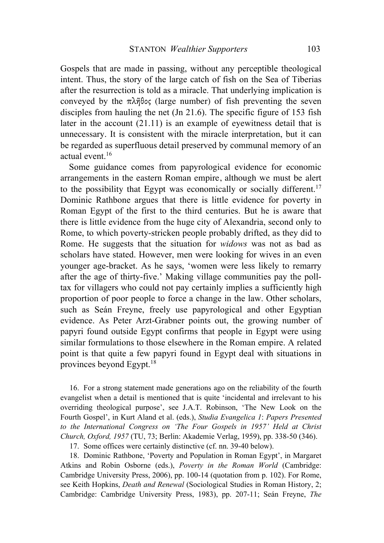Gospels that are made in passing, without any perceptible theological intent. Thus, the story of the large catch of fish on the Sea of Tiberias after the resurrection is told as a miracle. That underlying implication is conveyed by the πλῆθος (large number) of fish preventing the seven disciples from hauling the net (Jn 21.6). The specific figure of 153 fish later in the account (21.11) is an example of eyewitness detail that is unnecessary. It is consistent with the miracle interpretation, but it can be regarded as superfluous detail preserved by communal memory of an actual event.16

Some guidance comes from papyrological evidence for economic arrangements in the eastern Roman empire, although we must be alert to the possibility that Egypt was economically or socially different.<sup>17</sup> Dominic Rathbone argues that there is little evidence for poverty in Roman Egypt of the first to the third centuries. But he is aware that there is little evidence from the huge city of Alexandria, second only to Rome, to which poverty-stricken people probably drifted, as they did to Rome. He suggests that the situation for *widows* was not as bad as scholars have stated. However, men were looking for wives in an even younger age-bracket. As he says, 'women were less likely to remarry after the age of thirty-five.' Making village communities pay the polltax for villagers who could not pay certainly implies a sufficiently high proportion of poor people to force a change in the law. Other scholars, such as Seán Freyne, freely use papyrological and other Egyptian evidence. As Peter Arzt-Grabner points out, the growing number of papyri found outside Egypt confirms that people in Egypt were using similar formulations to those elsewhere in the Roman empire. A related point is that quite a few papyri found in Egypt deal with situations in provinces beyond Egypt.18

16. For a strong statement made generations ago on the reliability of the fourth evangelist when a detail is mentioned that is quite 'incidental and irrelevant to his overriding theological purpose', see J.A.T. Robinson, 'The New Look on the Fourth Gospel', in Kurt Aland et al. (eds.), *Studia Evangelica 1*: *Papers Presented to the International Congress on 'The Four Gospels in 1957' Held at Christ Church, Oxford, 1957* (TU, 73; Berlin: Akademie Verlag, 1959), pp. 338-50 (346).

17. Some offices were certainly distinctive (cf. nn. 39-40 below).

18. Dominic Rathbone, 'Poverty and Population in Roman Egypt', in Margaret Atkins and Robin Osborne (eds.), *Poverty in the Roman World* (Cambridge: Cambridge University Press, 2006), pp. 100-14 (quotation from p. 102). For Rome, see Keith Hopkins, *Death and Renewal* (Sociological Studies in Roman History, 2; Cambridge: Cambridge University Press, 1983), pp. 207-11; Seán Freyne, *The*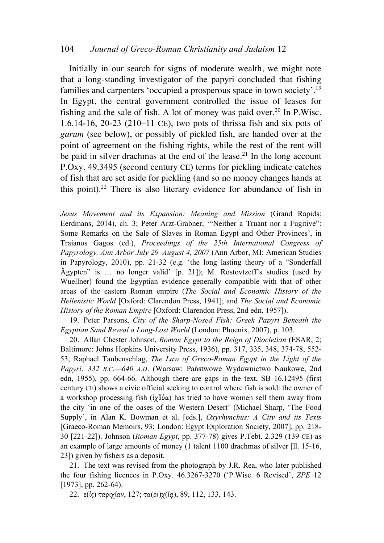#### 104 *Journal of Greco-Roman Christianity and Judaism* 12

Initially in our search for signs of moderate wealth, we might note that a long-standing investigator of the papyri concluded that fishing families and carpenters 'occupied a prosperous space in town society'.<sup>19</sup> In Egypt, the central government controlled the issue of leases for fishing and the sale of fish. A lot of money was paid over.<sup>20</sup> In P.Wisc. 1.6.14-16, 20-23 (210–11 CE), two pots of thrissa fish and six pots of *garum* (see below), or possibly of pickled fish, are handed over at the point of agreement on the fishing rights, while the rest of the rent will be paid in silver drachmas at the end of the lease.<sup>21</sup> In the long account P.Oxy. 49.3495 (second century CE) terms for pickling indicate catches of fish that are set aside for pickling (and so no money changes hands at this point).<sup>22</sup> There is also literary evidence for abundance of fish in

*Jesus Movement and its Expansion: Meaning and Mission* (Grand Rapids: Eerdmans, 2014), ch. 3; Peter Arzt-Grabner, '"Neither a Truant nor a Fugitive": Some Remarks on the Sale of Slaves in Roman Egypt and Other Provinces', in Traianos Gagos (ed.), *Proceedings of the 25th International Congress of Papyrology, Ann Arbor July 29–August 4, 2007* (Ann Arbor, MI: American Studies in Papyrology, 2010), pp. 21-32 (e.g. 'the long lasting theory of a "Sonderfall Ägypten" is … no longer valid' [p. 21]); M. Rostovtzeff's studies (used by Wuellner) found the Egyptian evidence generally compatible with that of other areas of the eastern Roman empire (*The Social and Economic History of the Hellenistic World* [Oxford: Clarendon Press, 1941]; and *The Social and Economic History of the Roman Empire* [Oxford: Clarendon Press, 2nd edn, 1957]).

19. Peter Parsons, *City of the Sharp-Nosed Fish: Greek Papyri Beneath the Egyptian Sand Reveal a Long-Lost World* (London: Phoenix, 2007), p. 103.

20. Allan Chester Johnson, *Roman Egypt to the Reign of Diocletian* (ESAR, 2; Baltimore: Johns Hopkins University Press, 1936), pp. 317, 335, 348, 374-78, 552- 53; Raphael Taubenschlag, *The Law of Greco-Roman Egypt in the Light of the Papyri: 332 B.C.—640 A.D*. (Warsaw: Państwowe Wydawnictwo Naukowe, 2nd edn, 1955), pp. 664-66. Although there are gaps in the text, SB 16.12495 (first century CE) shows a civic official seeking to control where fish is sold: the owner of a workshop processing fish ( $i\chi\theta\acute{\nu}\alpha$ ) has tried to have women sell them away from the city 'in one of the oases of the Western Desert' (Michael Sharp, 'The Food Supply', in Alan K. Bowman et al. [eds.], *Oxyrhynchus: A City and its Texts* [Graeco-Roman Memoirs, 93; London: Egypt Exploration Society, 2007], pp. 218- 30 [221-22]). Johnson (*Roman Egypt*, pp. 377-78) gives P.Tebt. 2.329 (139 CE) as an example of large amounts of money (1 talent 1100 drachmas of silver [ll. 15-16, 23]) given by fishers as a deposit.

21. The text was revised from the photograph by J.R. Rea, who later published the four fishing licences in P.Oxy. 46.3267-3270 ('P.Wisc. 6 Revised', *ZPE* 12 [1973], pp. 262-64).

22. ε(*iς*) ταριχίαν, 127; τα(ρι)χ(ία), 89, 112, 133, 143.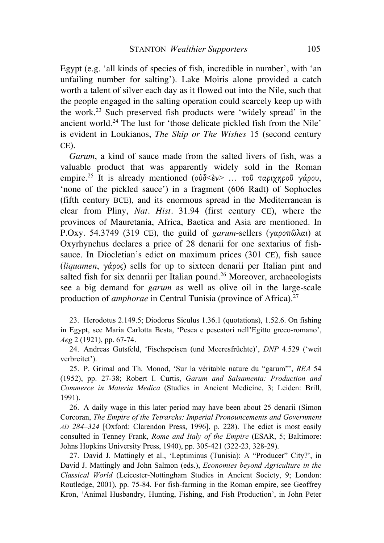Egypt (e.g. 'all kinds of species of fish, incredible in number', with 'an unfailing number for salting'). Lake Moiris alone provided a catch worth a talent of silver each day as it flowed out into the Nile, such that the people engaged in the salting operation could scarcely keep up with the work. <sup>23</sup> Such preserved fish products were 'widely spread' in the ancient world.<sup>24</sup> The lust for 'those delicate pickled fish from the Nile' is evident in Loukianos, *The Ship or The Wishes* 15 (second century CE).

*Garum*, a kind of sauce made from the salted livers of fish, was a valuable product that was apparently widely sold in the Roman empire.<sup>25</sup> It is already mentioned (οὐδ<ἐν> ... τοῦ ταριχηροῦ γάρου, 'none of the pickled sauce') in a fragment (606 Radt) of Sophocles (fifth century BCE), and its enormous spread in the Mediterranean is clear from Pliny, *Nat. Hist.* 31.94 (first century CE), where the provinces of Mauretania, Africa, Baetica and Asia are mentioned. In P.Oxy. 54.3749 (319 CE), the guild of *garum*-sellers (γαροπῶλαι) at Oxyrhynchus declares a price of 28 denarii for one sextarius of fishsauce. In Diocletian's edict on maximum prices (301 CE), fish sauce (*liquamen*, γάρος) sells for up to sixteen denarii per Italian pint and salted fish for six denarii per Italian pound.<sup>26</sup> Moreover, archaeologists see a big demand for *garum* as well as olive oil in the large-scale production of *amphorae* in Central Tunisia (province of Africa).<sup>27</sup>

23. Herodotus 2.149.5; Diodorus Siculus 1.36.1 (quotations), 1.52.6. On fishing in Egypt, see Maria Carlotta Besta, 'Pesca e pescatori nell'Egitto greco-romano', *Aeg* 2 (1921), pp. 67-74.

24. Andreas Gutsfeld, 'Fischspeisen (und Meeresfrüchte)', *DNP* 4.529 ('weit verbreitet').

25. P. Grimal and Th. Monod, 'Sur la véritable nature du "garum"', *REA* 54 (1952), pp. 27-38; Robert I. Curtis, *Garum and Salsamenta: Production and Commerce in Materia Medica* (Studies in Ancient Medicine, 3; Leiden: Brill, 1991).

26. A daily wage in this later period may have been about 25 denarii (Simon Corcoran, *The Empire of the Tetrarchs: Imperial Pronouncements and Government AD 284–324* [Oxford: Clarendon Press, 1996], p. 228). The edict is most easily consulted in Tenney Frank, *Rome and Italy of the Empire* (ESAR, 5; Baltimore: Johns Hopkins University Press, 1940), pp. 305-421 (322-23, 328-29).

27. David J. Mattingly et al., 'Leptiminus (Tunisia): A "Producer" City?', in David J. Mattingly and John Salmon (eds.), *Economies beyond Agriculture in the Classical World* (Leicester-Nottingham Studies in Ancient Society, 9; London: Routledge, 2001), pp. 75-84. For fish-farming in the Roman empire, see Geoffrey Kron, 'Animal Husbandry, Hunting, Fishing, and Fish Production', in John Peter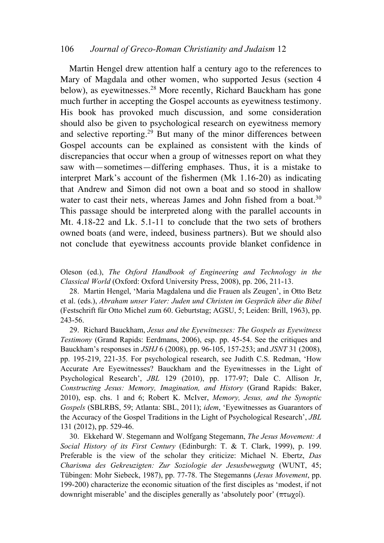### 106 *Journal of Greco-Roman Christianity and Judaism* 12

Martin Hengel drew attention half a century ago to the references to Mary of Magdala and other women, who supported Jesus (section 4 below), as eyewitnesses.<sup>28</sup> More recently, Richard Bauckham has gone much further in accepting the Gospel accounts as eyewitness testimony. His book has provoked much discussion, and some consideration should also be given to psychological research on eyewitness memory and selective reporting.<sup>29</sup> But many of the minor differences between Gospel accounts can be explained as consistent with the kinds of discrepancies that occur when a group of witnesses report on what they saw with—sometimes—differing emphases. Thus, it is a mistake to interpret Mark's account of the fishermen (Mk 1.16-20) as indicating that Andrew and Simon did not own a boat and so stood in shallow water to cast their nets, whereas James and John fished from a boat.<sup>30</sup> This passage should be interpreted along with the parallel accounts in Mt. 4.18-22 and Lk. 5.1-11 to conclude that the two sets of brothers owned boats (and were, indeed, business partners). But we should also not conclude that eyewitness accounts provide blanket confidence in

Oleson (ed.), *The Oxford Handbook of Engineering and Technology in the Classical World* (Oxford: Oxford University Press, 2008), pp. 206, 211-13.

28. Martin Hengel, 'Maria Magdalena und die Frauen als Zeugen', in Otto Betz et al. (eds.), *Abraham unser Vater: Juden und Christen im Gespräch über die Bibel* (Festschrift für Otto Michel zum 60. Geburtstag; AGSU, 5; Leiden: Brill, 1963), pp. 243-56.

29. Richard Bauckham, *Jesus and the Eyewitnesses: The Gospels as Eyewitness Testimony* (Grand Rapids: Eerdmans, 2006), esp. pp. 45-54. See the critiques and Bauckham's responses in *JSHJ* 6 (2008), pp. 96-105, 157-253; and *JSNT* 31 (2008), pp. 195-219, 221-35. For psychological research, see Judith C.S. Redman, 'How Accurate Are Eyewitnesses? Bauckham and the Eyewitnesses in the Light of Psychological Research', *JBL* 129 (2010), pp. 177-97; Dale C. Allison Jr, *Constructing Jesus: Memory, Imagination, and History* (Grand Rapids: Baker, 2010), esp. chs. 1 and 6; Robert K. McIver, *Memory, Jesus, and the Synoptic Gospels* (SBLRBS, 59; Atlanta: SBL, 2011); *idem*, 'Eyewitnesses as Guarantors of the Accuracy of the Gospel Traditions in the Light of Psychological Research', *JBL* 131 (2012), pp. 529-46.

30. Ekkehard W. Stegemann and Wolfgang Stegemann, *The Jesus Movement: A Social History of its First Century* (Edinburgh: T. & T. Clark, 1999), p. 199. Preferable is the view of the scholar they criticize: Michael N. Ebertz, *Das Charisma des Gekreuzigten: Zur Soziologie der Jesusbewegung* (WUNT, 45; Tübingen: Mohr Siebeck, 1987), pp. 77-78. The Stegemanns (*Jesus Movement*, pp. 199-200) characterize the economic situation of the first disciples as 'modest, if not downright miserable' and the disciples generally as 'absolutely poor' (πτωχοί).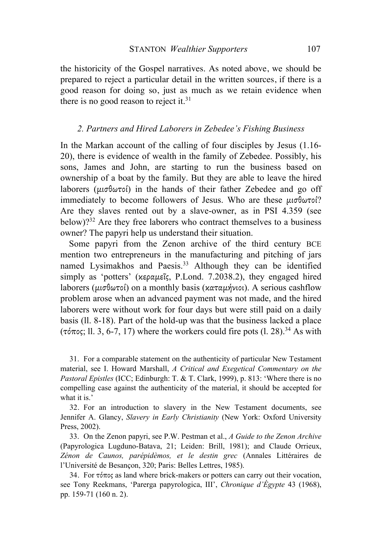the historicity of the Gospel narratives. As noted above, we should be prepared to reject a particular detail in the written sources, if there is a good reason for doing so, just as much as we retain evidence when there is no good reason to reject it. $31$ 

#### *2. Partners and Hired Laborers in Zebedee's Fishing Business*

In the Markan account of the calling of four disciples by Jesus (1.16- 20), there is evidence of wealth in the family of Zebedee. Possibly, his sons, James and John, are starting to run the business based on ownership of a boat by the family. But they are able to leave the hired laborers ( $\mu\sigma\theta\omega\tau\sigma\theta$ ) in the hands of their father Zebedee and go off immediately to become followers of Jesus. Who are these  $\mu_0 \sigma_0$ Are they slaves rented out by a slave-owner, as in PSI 4.359 (see below)?32 Are they free laborers who contract themselves to a business owner? The papyri help us understand their situation.

Some papyri from the Zenon archive of the third century BCE mention two entrepreneurs in the manufacturing and pitching of jars named Lysimakhos and Paesis.<sup>33</sup> Although they can be identified simply as 'potters' (κεραµεῖς, P.Lond. 7.2038.2), they engaged hired laborers (µισθωτοί) on a monthly basis (καταµήνιοι). A serious cashflow problem arose when an advanced payment was not made, and the hired laborers were without work for four days but were still paid on a daily basis (ll. 8-18). Part of the hold-up was that the business lacked a place ( $\tau \delta \pi$ oς; ll. 3, 6-7, 17) where the workers could fire pots (l. 28).<sup>34</sup> As with

31. For a comparable statement on the authenticity of particular New Testament material, see I. Howard Marshall, *A Critical and Exegetical Commentary on the Pastoral Epistles* (ICC; Edinburgh: T. & T. Clark, 1999), p. 813: 'Where there is no compelling case against the authenticity of the material, it should be accepted for what it is.'

32. For an introduction to slavery in the New Testament documents, see Jennifer A. Glancy, *Slavery in Early Christianity* (New York: Oxford University Press, 2002).

33. On the Zenon papyri, see P.W. Pestman et al., *A Guide to the Zenon Archive*  (Papyrologica Lugduno-Batava, 21; Leiden: Brill, 1981); and Claude Orrieux, *Zénon de Caunos, parépidèmos, et le destin grec* (Annales Littéraires de l'Université de Besançon, 320; Paris: Belles Lettres, 1985).

34. For τόπος as land where brick-makers or potters can carry out their vocation, see Tony Reekmans, 'Parerga papyrologica, III', *Chronique d'Égypte* 43 (1968), pp. 159-71 (160 n. 2).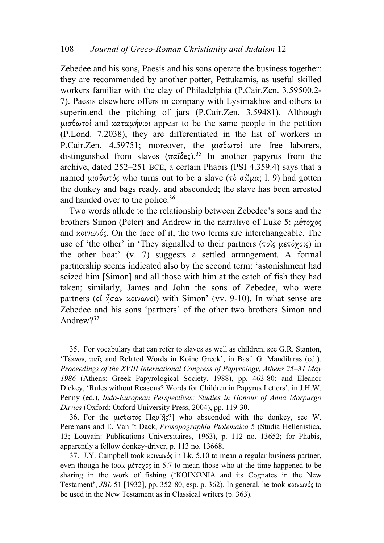Zebedee and his sons, Paesis and his sons operate the business together: they are recommended by another potter, Pettukamis, as useful skilled workers familiar with the clay of Philadelphia (P.Cair.Zen. 3.59500.2- 7). Paesis elsewhere offers in company with Lysimakhos and others to superintend the pitching of jars (P.Cair.Zen. 3.59481). Although µισθωτοί and καταµήνιοι appear to be the same people in the petition (P.Lond. 7.2038), they are differentiated in the list of workers in P.Cair.Zen. 4.59751; moreover, the µισθωτοί are free laborers, distinguished from slaves  $(\pi \alpha \tilde{\delta} \epsilon \zeta)^{35}$  In another papyrus from the archive, dated 252–251 BCE, a certain Phabis (PSI 4.359.4) says that a named µισθωτός who turns out to be a slave (τὸ σῶµα; l. 9) had gotten the donkey and bags ready, and absconded; the slave has been arrested and handed over to the police. 36

Two words allude to the relationship between Zebedee's sons and the brothers Simon (Peter) and Andrew in the narrative of Luke 5: µέτοχος and κοινωνός. On the face of it, the two terms are interchangeable. The use of 'the other' in 'They signalled to their partners (τοῖς µετόχοις) in the other boat' (v. 7) suggests a settled arrangement. A formal partnership seems indicated also by the second term: 'astonishment had seized him [Simon] and all those with him at the catch of fish they had taken; similarly, James and John the sons of Zebedee, who were partners (οἳ ἦσαν κοινωνοί) with Simon' (vv. 9-10). In what sense are Zebedee and his sons 'partners' of the other two brothers Simon and Andrew?<sup>37</sup>

35. For vocabulary that can refer to slaves as well as children, see G.R. Stanton, 'Τέκνον, παῖς and Related Words in Koine Greek', in Basil G. Mandilaras (ed.), *Proceedings of the XVIII International Congress of Papyrology, Athens 25–31 May 1986* (Athens: Greek Papyrological Society, 1988), pp. 463-80; and Eleanor Dickey, 'Rules without Reasons? Words for Children in Papyrus Letters', in J.H.W. Penny (ed.), *Indo-European Perspectives: Studies in Honour of Anna Morpurgo Davies* (Oxford: Oxford University Press, 2004), pp. 119-30.

36. For the  $\mu\sigma\theta\omega\tau\phi\varsigma$   $\Pi\alpha\nu[\tilde{\eta}\varsigma\gamma]$  who absconded with the donkey, see W. Peremans and E. Van 't Dack, *Prosopographia Ptolemaica* 5 (Studia Hellenistica, 13; Louvain: Publications Universitaires, 1963), p. 112 no. 13652; for Phabis, apparently a fellow donkey-driver, p. 113 no. 13668.

37. J.Y. Campbell took κοινωνός in Lk. 5.10 to mean a regular business-partner, even though he took µέτοχος in 5.7 to mean those who at the time happened to be sharing in the work of fishing ('KOINQNIA and its Cognates in the New Testament', *JBL* 51 [1932], pp. 352-80, esp. p. 362). In general, he took κοινωνός to be used in the New Testament as in Classical writers (p. 363).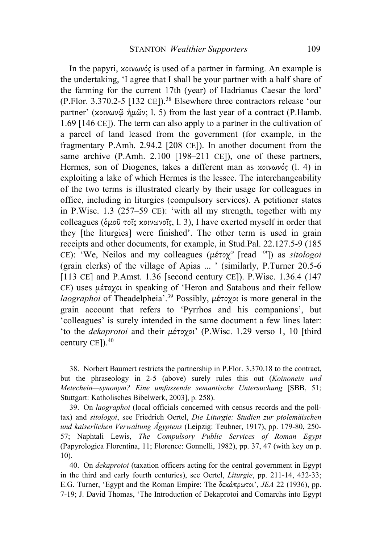In the papyri, κοινωνός is used of a partner in farming. An example is the undertaking, 'I agree that I shall be your partner with a half share of the farming for the current 17th (year) of Hadrianus Caesar the lord' (P.Flor. 3.370.2-5 [132 CE]).<sup>38</sup> Elsewhere three contractors release 'our partner' (κοινωνῷ ἡµῶν; l. 5) from the last year of a contract (P.Hamb. 1.69 [146 CE]). The term can also apply to a partner in the cultivation of a parcel of land leased from the government (for example, in the fragmentary P.Amh. 2.94.2 [208 CE]). In another document from the same archive (P.Amh. 2.100 [198–211 CE]), one of these partners, Hermes, son of Diogenes, takes a different man as κοινωνός (l. 4) in exploiting a lake of which Hermes is the lessee. The interchangeability of the two terms is illustrated clearly by their usage for colleagues in office, including in liturgies (compulsory services). A petitioner states in P.Wisc. 1.3 (257–59 CE): 'with all my strength, together with my colleagues (ὁµοῦ τοῖς κοινωνοῖς, l. 3), I have exerted myself in order that they [the liturgies] were finished'. The other term is used in grain receipts and other documents, for example, in Stud.Pal. 22.127.5-9 (185 CE): 'We, Neilos and my colleagues (μέτοχ<sup>ω</sup> [read <sup>-oι</sup>]) as *sitologoi* (grain clerks) of the village of Apias ... ' (similarly, P.Turner 20.5-6 [113 CE] and P.Amst. 1.36 [second century CE]). P.Wisc. 1.36.4 (147 CE) uses µέτοχοι in speaking of 'Heron and Satabous and their fellow *laographoi* of Theadelpheia'.39 Possibly, µέτοχοι is more general in the grain account that refers to 'Pyrrhos and his companions', but 'colleagues' is surely intended in the same document a few lines later: 'to the *dekaprotoi* and their µέτοχοι' (P.Wisc. 1.29 verso 1, 10 [third century CE $]$ ).<sup>40</sup>

38. Norbert Baumert restricts the partnership in P.Flor. 3.370.18 to the contract, but the phraseology in 2-5 (above) surely rules this out (*Koinonein und Metechein—synonym? Eine umfassende semantische Untersuchung* [SBB, 51; Stuttgart: Katholisches Bibelwerk, 2003], p. 258).

39. On *laographoi* (local officials concerned with census records and the polltax) and *sitologoi*, see Friedrich Oertel, *Die Liturgie: Studien zur ptolemäischen und kaiserlichen Verwaltung Ägyptens* (Leipzig: Teubner, 1917), pp. 179-80, 250- 57; Naphtali Lewis, *The Compulsory Public Services of Roman Egypt* (Papyrologica Florentina, 11; Florence: Gonnelli, 1982), pp. 37, 47 (with key on p. 10).

40. On *dekaprotoi* (taxation officers acting for the central government in Egypt in the third and early fourth centuries), see Oertel, *Liturgie*, pp. 211-14, 432-33; E.G. Turner, 'Egypt and the Roman Empire: The δεκάπρωτοι', *JEA* 22 (1936), pp. 7-19; J. David Thomas, 'The Introduction of Dekaprotoi and Comarchs into Egypt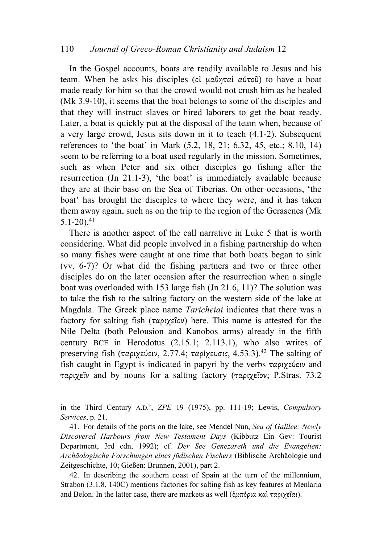### 110 *Journal of Greco-Roman Christianity and Judaism* 12

In the Gospel accounts, boats are readily available to Jesus and his team. When he asks his disciples (οἱ µαθηταὶ αὐτοῦ) to have a boat made ready for him so that the crowd would not crush him as he healed (Mk 3.9-10), it seems that the boat belongs to some of the disciples and that they will instruct slaves or hired laborers to get the boat ready. Later, a boat is quickly put at the disposal of the team when, because of a very large crowd, Jesus sits down in it to teach (4.1-2). Subsequent references to 'the boat' in Mark (5.2, 18, 21; 6.32, 45, etc.; 8.10, 14) seem to be referring to a boat used regularly in the mission. Sometimes, such as when Peter and six other disciples go fishing after the resurrection (Jn 21.1-3), 'the boat' is immediately available because they are at their base on the Sea of Tiberias. On other occasions, 'the boat' has brought the disciples to where they were, and it has taken them away again, such as on the trip to the region of the Gerasenes (Mk  $5.1-20$ ).<sup>41</sup>

There is another aspect of the call narrative in Luke 5 that is worth considering. What did people involved in a fishing partnership do when so many fishes were caught at one time that both boats began to sink (vv. 6-7)? Or what did the fishing partners and two or three other disciples do on the later occasion after the resurrection when a single boat was overloaded with 153 large fish (Jn 21.6, 11)? The solution was to take the fish to the salting factory on the western side of the lake at Magdala. The Greek place name *Taricheiai* indicates that there was a factory for salting fish (ταριχεῖον) here. This name is attested for the Nile Delta (both Pelousion and Kanobos arms) already in the fifth century BCE in Herodotus (2.15.1; 2.113.1), who also writes of preserving fish (ταριχεύειν, 2.77.4; ταρίχευσις, 4.53.3).<sup>42</sup> The salting of fish caught in Egypt is indicated in papyri by the verbs ταριχεύειν and ταριχεῖν and by nouns for a salting factory (ταριχεῖον; P.Stras. 73.2

in the Third Century A.D.', *ZPE* 19 (1975), pp. 111-19; Lewis, *Compulsory Services*, p. 21.

41. For details of the ports on the lake, see Mendel Nun, *Sea of Galilee: Newly Discovered Harbours from New Testament Days* (Kibbutz Ein Gev: Tourist Department, 3rd edn, 1992); cf. *Der See Genezareth und die Evangelien: Archäologische Forschungen eines jüdischen Fischers* (Biblische Archäologie und Zeitgeschichte, 10; Gießen: Brunnen, 2001), part 2.

42. In describing the southern coast of Spain at the turn of the millennium, Strabon (3.1.8, 140C) mentions factories for salting fish as key features at Menlaria and Belon. In the latter case, there are markets as well (ἐµπόρια καὶ ταριχεῖαι).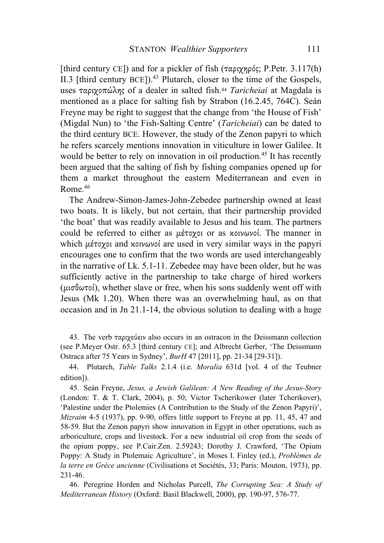[third century CE]) and for a pickler of fish ( $\tau \alpha \rho \gamma \gamma \rho \delta \varsigma$ ; P.Petr. 3.117(h) II.3 [third century BCE]).<sup>43</sup> Plutarch, closer to the time of the Gospels, uses ταριχοπώλης of a dealer in salted fish.44 *Taricheiai* at Magdala is mentioned as a place for salting fish by Strabon (16.2.45, 764C). Seán Freyne may be right to suggest that the change from 'the House of Fish' (Migdal Nun) to 'the Fish-Salting Centre' (*Taricheiai*) can be dated to the third century BCE. However, the study of the Zenon papyri to which he refers scarcely mentions innovation in viticulture in lower Galilee. It would be better to rely on innovation in oil production.<sup>45</sup> It has recently been argued that the salting of fish by fishing companies opened up for them a market throughout the eastern Mediterranean and even in Rome. 46

The Andrew-Simon-James-John-Zebedee partnership owned at least two boats. It is likely, but not certain, that their partnership provided 'the boat' that was readily available to Jesus and his team. The partners could be referred to either as µέτοχοι or as κοινωνοί. The manner in which μέτοχοι and κοινωνοί are used in very similar ways in the papyri encourages one to confirm that the two words are used interchangeably in the narrative of Lk. 5.1-11. Zebedee may have been older, but he was sufficiently active in the partnership to take charge of hired workers (μισθωτοί), whether slave or free, when his sons suddenly went off with Jesus (Mk 1.20). When there was an overwhelming haul, as on that occasion and in Jn 21.1-14, the obvious solution to dealing with a huge

43. The verb ταριχεύειν also occurs in an ostracon in the Deissmann collection (see P.Meyer Ostr. 65.3 [third century CE]; and Albrecht Gerber, 'The Deissmann Ostraca after 75 Years in Sydney', *BurH* 47 [2011], pp. 21-34 [29-31]).

44. Plutarch, *Table Talks* 2.1.4 (i.e. *Moralia* 631d [vol. 4 of the Teubner edition]).

45. Seán Freyne, *Jesus, a Jewish Galilean: A New Reading of the Jesus-Story* (London: T. & T. Clark, 2004), p. 50; Victor Tscherikower (later Tcherikover), 'Palestine under the Ptolemies (A Contribution to the Study of the Zenon Papyri)', *Mizraim* 4-5 (1937), pp. 9-90, offers little support to Freyne at pp. 11, 45, 47 and 58-59. But the Zenon papyri show innovation in Egypt in other operations, such as arboriculture, crops and livestock. For a new industrial oil crop from the seeds of the opium poppy, see P.Cair.Zen. 2.59243; Dorothy J. Crawford, 'The Opium Poppy: A Study in Ptolemaic Agriculture', in Moses I. Finley (ed.), *Problèmes de la terre en Grèce ancienne* (Civilisations et Sociétés, 33; Paris: Mouton, 1973), pp. 231-46.

46. Peregrine Horden and Nicholas Purcell, *The Corrupting Sea: A Study of Mediterranean History* (Oxford: Basil Blackwell, 2000), pp. 190-97, 576-77.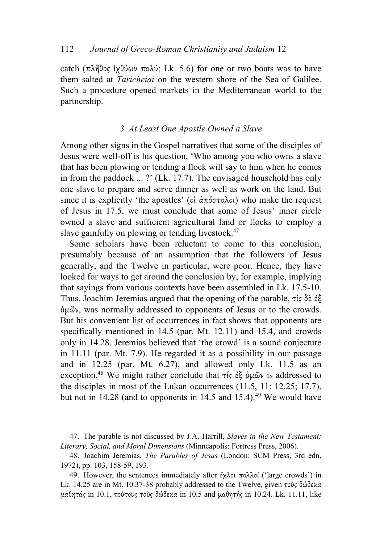catch (πλῆθος ἰχθύων πολύ; Lk. 5.6) for one or two boats was to have them salted at *Taricheiai* on the western shore of the Sea of Galilee. Such a procedure opened markets in the Mediterranean world to the partnership.

## *3. At Least One Apostle Owned a Slave*

Among other signs in the Gospel narratives that some of the disciples of Jesus were well-off is his question, 'Who among you who owns a slave that has been plowing or tending a flock will say to him when he comes in from the paddock ... ?' (Lk. 17.7). The envisaged household has only one slave to prepare and serve dinner as well as work on the land. But since it is explicitly 'the apostles' (oι  $\alpha \pi \delta \sigma \tau$ ολοι) who make the request of Jesus in 17.5, we must conclude that some of Jesus' inner circle owned a slave and sufficient agricultural land or flocks to employ a slave gainfully on plowing or tending livestock.<sup>47</sup>

Some scholars have been reluctant to come to this conclusion, presumably because of an assumption that the followers of Jesus generally, and the Twelve in particular, were poor. Hence, they have looked for ways to get around the conclusion by, for example, implying that sayings from various contexts have been assembled in Lk. 17.5-10. Thus, Joachim Jeremias argued that the opening of the parable, τίς δὲ ἐξ ὑµῶν, was normally addressed to opponents of Jesus or to the crowds. But his convenient list of occurrences in fact shows that opponents are specifically mentioned in 14.5 (par. Mt. 12.11) and 15.4, and crowds only in 14.28. Jeremias believed that 'the crowd' is a sound conjecture in 11.11 (par. Mt. 7.9). He regarded it as a possibility in our passage and in 12.25 (par. Mt. 6.27), and allowed only Lk. 11.5 as an exception. <sup>48</sup> We might rather conclude that τίς ἐξ ὑµῶν is addressed to the disciples in most of the Lukan occurrences (11.5, 11; 12.25; 17.7), but not in  $14.28$  (and to opponents in  $14.5$  and  $15.4$ ).<sup>49</sup> We would have

<sup>47.</sup> The parable is not discussed by J.A. Harrill, *Slaves in the New Testament: Literary, Social, and Moral Dimensions* (Minneapolis: Fortress Press, 2006).

<sup>48.</sup> Joachim Jeremias, *The Parables of Jesus* (London: SCM Press, 3rd edn, 1972), pp. 103, 158-59, 193.

<sup>49.</sup> However, the sentences immediately after ὄχλοι πολλοί ('large crowds') in Lk. 14.25 are in Mt. 10.37-38 probably addressed to the Twelve, given τοὺς δώδεκα  $\mu$ αθητάς in 10.1, τούτους τοὺς δώδεκα in 10.5 and  $\mu$ αθητής in 10.24. Lk. 11.11, like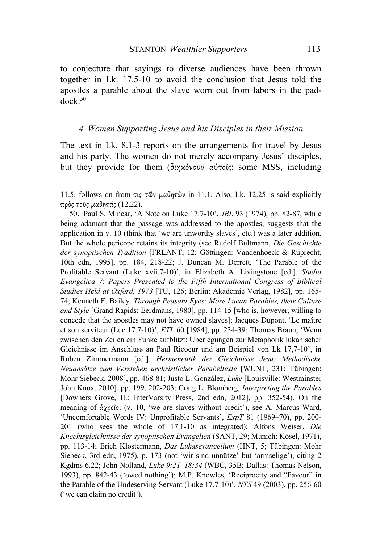to conjecture that sayings to diverse audiences have been thrown together in Lk. 17.5-10 to avoid the conclusion that Jesus told the apostles a parable about the slave worn out from labors in the paddock. 50

#### *4. Women Supporting Jesus and his Disciples in their Mission*

The text in Lk. 8.1-3 reports on the arrangements for travel by Jesus and his party. The women do not merely accompany Jesus' disciples, but they provide for them (διηκόνουν αὐτοῖς; some MSS, including

11.5, follows on from τις τῶν µαθητῶν in 11.1. Also, Lk. 12.25 is said explicitly πρὸς τοὺς µαθητάς (12.22).

50. Paul S. Minear, 'A Note on Luke 17:7-10', *JBL* 93 (1974), pp. 82-87, while being adamant that the passage was addressed to the apostles, suggests that the application in v. 10 (think that 'we are unworthy slaves', etc.) was a later addition. But the whole pericope retains its integrity (see Rudolf Bultmann, *Die Geschichte der synoptischen Tradition* [FRLANT, 12; Göttingen: Vandenhoeck & Ruprecht, 10th edn, 1995], pp. 184, 218-22; J. Duncan M. Derrett, 'The Parable of the Profitable Servant (Luke xvii.7-10)', in Elizabeth A. Livingstone [ed.], *Studia Evangelica 7*: *Papers Presented to the Fifth International Congress of Biblical Studies Held at Oxford, 1973* [TU, 126; Berlin: Akademie Verlag, 1982], pp. 165- 74; Kenneth E. Bailey, *Through Peasant Eyes: More Lucan Parables, their Culture and Style* [Grand Rapids: Eerdmans, 1980], pp. 114-15 [who is, however, willing to concede that the apostles may not have owned slaves]; Jacques Dupont, 'Le maître et son serviteur (Luc 17,7-10)', *ETL* 60 [1984], pp. 234-39; Thomas Braun, 'Wenn zwischen den Zeilen ein Funke aufblitzt: Überlegungen zur Metaphorik lukanischer Gleichnisse im Anschluss an Paul Ricoeur und am Beispiel von Lk 17,7-10', in Ruben Zimmermann [ed.], *Hermeneutik der Gleichnisse Jesu: Methodische Neuansätze zum Verstehen urchristlicher Parabeltexte* [WUNT, 231; Tübingen: Mohr Siebeck, 2008], pp. 468-81; Justo L. González, *Luke* [Louisville: Westminster John Knox, 2010], pp. 199, 202-203; Craig L. Blomberg, *Interpreting the Parables* [Downers Grove, IL: InterVarsity Press, 2nd edn, 2012], pp. 352-54). On the meaning of ἀχρεῖοι (v. 10, 'we are slaves without credit'), see A. Marcus Ward, 'Uncomfortable Words IV: Unprofitable Servants', *ExpT* 81 (1969–70), pp. 200- 201 (who sees the whole of 17.1-10 as integrated); Alfons Weiser, *Die Knechtsgleichnisse der synoptischen Evangelien* (SANT, 29; Munich: Kösel, 1971), pp. 113-14; Erich Klostermann, *Das Lukasevangelium* (HNT, 5; Tübingen: Mohr Siebeck, 3rd edn, 1975), p. 173 (not 'wir sind unnütze' but 'armselige'), citing 2 Kgdms 6.22; John Nolland, *Luke 9:21–18:34* (WBC, 35B; Dallas: Thomas Nelson, 1993), pp. 842-43 ('owed nothing'); M.P. Knowles, 'Reciprocity and "Favour" in the Parable of the Undeserving Servant (Luke 17.7-10)', *NTS* 49 (2003), pp. 256-60 ('we can claim no credit').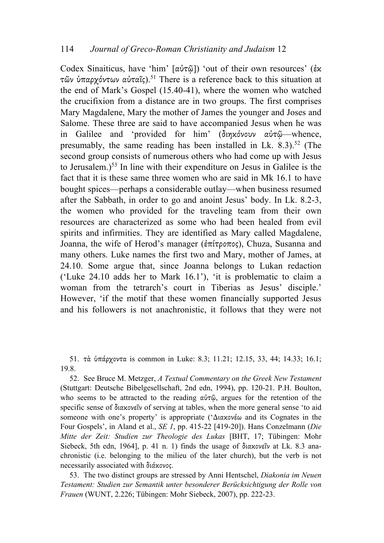Codex Sinaiticus, have 'him' [αὐτῷ]) 'out of their own resources' (ἐκ τῶν ὑπαρχόντων αὐταῖς).51 There is a reference back to this situation at the end of Mark's Gospel (15.40-41), where the women who watched the crucifixion from a distance are in two groups. The first comprises Mary Magdalene, Mary the mother of James the younger and Joses and Salome. These three are said to have accompanied Jesus when he was in Galilee and 'provided for him' (διηκόνουν αὐτῷ—whence, presumably, the same reading has been installed in Lk.  $8.3$ ).<sup>52</sup> (The second group consists of numerous others who had come up with Jesus to Jerusalem.) <sup>53</sup> In line with their expenditure on Jesus in Galilee is the fact that it is these same three women who are said in Mk 16.1 to have bought spices—perhaps a considerable outlay—when business resumed after the Sabbath, in order to go and anoint Jesus' body. In Lk. 8.2-3, the women who provided for the traveling team from their own resources are characterized as some who had been healed from evil spirits and infirmities. They are identified as Mary called Magdalene, Joanna, the wife of Herod's manager (ἐπίτροπος), Chuza, Susanna and many others. Luke names the first two and Mary, mother of James, at 24.10. Some argue that, since Joanna belongs to Lukan redaction ('Luke 24.10 adds her to Mark 16.1'), 'it is problematic to claim a woman from the tetrarch's court in Tiberias as Jesus' disciple.' However, 'if the motif that these women financially supported Jesus and his followers is not anachronistic, it follows that they were not

51. τὰ ὑπάρχοντα is common in Luke: 8.3; 11.21; 12.15, 33, 44; 14.33; 16.1; 19.8.

52. See Bruce M. Metzger, *A Textual Commentary on the Greek New Testament* (Stuttgart: Deutsche Bibelgesellschaft, 2nd edn, 1994), pp. 120-21. P.H. Boulton, who seems to be attracted to the reading αὐτῷ, argues for the retention of the specific sense of διακονεῖν of serving at tables, when the more general sense 'to aid someone with one's property' is appropriate ('Διακονέω and its Cognates in the Four Gospels', in Aland et al., *SE 1*, pp. 415-22 [419-20]). Hans Conzelmann (*Die Mitte der Zeit: Studien zur Theologie des Lukas* [BHT, 17; Tübingen: Mohr Siebeck, 5th edn, 1964], p. 41 n. 1) finds the usage of διακονεῖν at Lk. 8.3 anachronistic (i.e. belonging to the milieu of the later church), but the verb is not necessarily associated with διάκονος.

53. The two distinct groups are stressed by Anni Hentschel, *Diakonia im Neuen Testament: Studien zur Semantik unter besonderer Berücksichtigung der Rolle von Frauen* (WUNT, 2.226; Tübingen: Mohr Siebeck, 2007), pp. 222-23.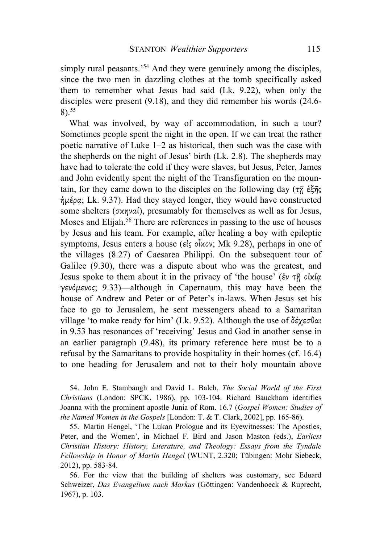simply rural peasants.<sup>54</sup> And they were genuinely among the disciples, since the two men in dazzling clothes at the tomb specifically asked them to remember what Jesus had said (Lk. 9.22), when only the disciples were present (9.18), and they did remember his words (24.6- 8).55

What was involved, by way of accommodation, in such a tour? Sometimes people spent the night in the open. If we can treat the rather poetic narrative of Luke 1–2 as historical, then such was the case with the shepherds on the night of Jesus' birth (Lk. 2.8). The shepherds may have had to tolerate the cold if they were slaves, but Jesus, Peter, James and John evidently spent the night of the Transfiguration on the mountain, for they came down to the disciples on the following day (τῆ ἑξῆς  $η\mu\notin\rho\alpha$ ; Lk. 9.37). Had they stayed longer, they would have constructed some shelters (σκηναί), presumably for themselves as well as for Jesus, Moses and Elijah.<sup>56</sup> There are references in passing to the use of houses by Jesus and his team. For example, after healing a boy with epileptic symptoms, Jesus enters a house (εἰς οἶκον; Mk 9.28), perhaps in one of the villages (8.27) of Caesarea Philippi. On the subsequent tour of Galilee (9.30), there was a dispute about who was the greatest, and Jesus spoke to them about it in the privacy of 'the house' (ἐν τῇ οἰκίᾳ γενόµενος; 9.33)—although in Capernaum, this may have been the house of Andrew and Peter or of Peter's in-laws. When Jesus set his face to go to Jerusalem, he sent messengers ahead to a Samaritan village 'to make ready for him' (Lk. 9.52). Although the use of δέχεσθαι in 9.53 has resonances of 'receiving' Jesus and God in another sense in an earlier paragraph (9.48), its primary reference here must be to a refusal by the Samaritans to provide hospitality in their homes (cf. 16.4) to one heading for Jerusalem and not to their holy mountain above

54. John E. Stambaugh and David L. Balch, *The Social World of the First Christians* (London: SPCK, 1986), pp. 103-104. Richard Bauckham identifies Joanna with the prominent apostle Junia of Rom. 16.7 (*Gospel Women: Studies of the Named Women in the Gospels* [London: T. & T. Clark, 2002], pp. 165-86).

55. Martin Hengel, 'The Lukan Prologue and its Eyewitnesses: The Apostles, Peter, and the Women', in Michael F. Bird and Jason Maston (eds.), *Earliest Christian History: History, Literature, and Theology: Essays from the Tyndale Fellowship in Honor of Martin Hengel* (WUNT, 2.320; Tübingen: Mohr Siebeck, 2012), pp. 583-84.

56. For the view that the building of shelters was customary, see Eduard Schweizer, *Das Evangelium nach Markus* (Göttingen: Vandenhoeck & Ruprecht, 1967), p. 103.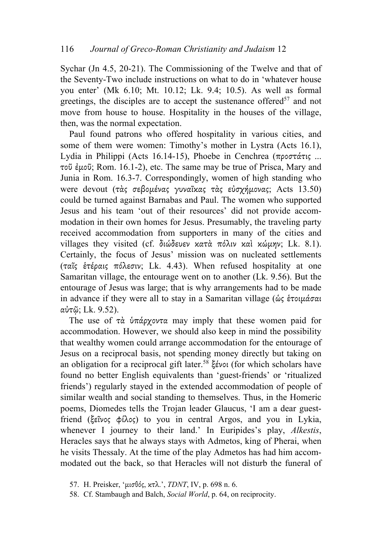Sychar (Jn 4.5, 20-21). The Commissioning of the Twelve and that of the Seventy-Two include instructions on what to do in 'whatever house you enter' (Mk 6.10; Mt. 10.12; Lk. 9.4; 10.5). As well as formal greetings, the disciples are to accept the sustenance offered<sup>57</sup> and not move from house to house. Hospitality in the houses of the village, then, was the normal expectation.

Paul found patrons who offered hospitality in various cities, and some of them were women: Timothy's mother in Lystra (Acts 16.1), Lydia in Philippi (Acts 16.14-15), Phoebe in Cenchrea (προστάτις ... τοῦ ἐµοῦ; Rom. 16.1-2), etc. The same may be true of Prisca, Mary and Junia in Rom. 16.3-7. Correspondingly, women of high standing who were devout (τὰς σεβομένας γυναῖκας τὰς εὐσχήμονας; Acts 13.50) could be turned against Barnabas and Paul. The women who supported Jesus and his team 'out of their resources' did not provide accommodation in their own homes for Jesus. Presumably, the traveling party received accommodation from supporters in many of the cities and villages they visited (cf. διώδευεν κατὰ πόλιν καὶ κώµην; Lk. 8.1). Certainly, the focus of Jesus' mission was on nucleated settlements (ταῖς ἑτέραις πόλεσιν; Lk. 4.43). When refused hospitality at one Samaritan village, the entourage went on to another (Lk. 9.56). But the entourage of Jesus was large; that is why arrangements had to be made in advance if they were all to stay in a Samaritan village (ὡς ἑτοιµάσαι αὐτῷ; Lk. 9.52).

The use of τὰ ὑπάρχοντα may imply that these women paid for accommodation. However, we should also keep in mind the possibility that wealthy women could arrange accommodation for the entourage of Jesus on a reciprocal basis, not spending money directly but taking on an obligation for a reciprocal gift later. <sup>58</sup> ξένοι (for which scholars have found no better English equivalents than 'guest-friends' or 'ritualized friends') regularly stayed in the extended accommodation of people of similar wealth and social standing to themselves. Thus, in the Homeric poems, Diomedes tells the Trojan leader Glaucus, 'I am a dear guestfriend (ξεῖνος φίλος) to you in central Argos, and you in Lykia, whenever I journey to their land.' In Euripides's play, *Alkestis*, Heracles says that he always stays with Admetos, king of Pherai, when he visits Thessaly. At the time of the play Admetos has had him accommodated out the back, so that Heracles will not disturb the funeral of

<sup>57.</sup> H. Preisker, 'µισθός, κτλ.', *TDNT*, IV, p. 698 n. 6.

<sup>58.</sup> Cf. Stambaugh and Balch, *Social World*, p. 64, on reciprocity.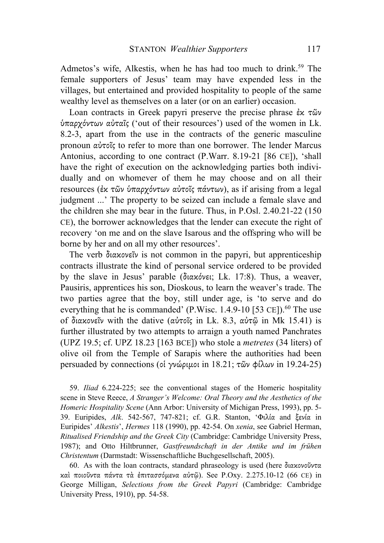Admetos's wife, Alkestis, when he has had too much to drink. <sup>59</sup> The female supporters of Jesus' team may have expended less in the villages, but entertained and provided hospitality to people of the same wealthy level as themselves on a later (or on an earlier) occasion.

Loan contracts in Greek papyri preserve the precise phrase ἐκ τῶν ὑπαρχόντων αὐταῖς ('out of their resources') used of the women in Lk. 8.2-3, apart from the use in the contracts of the generic masculine pronoun αὐτοῖς to refer to more than one borrower. The lender Marcus Antonius, according to one contract (P.Warr. 8.19-21 [86 CE]), 'shall have the right of execution on the acknowledging parties both individually and on whomever of them he may choose and on all their resources (ἐκ τῶν ὑπαρχόντων αὐτοῖς πάντων), as if arising from a legal judgment ...' The property to be seized can include a female slave and the children she may bear in the future. Thus, in P.Osl. 2.40.21-22 (150 CE), the borrower acknowledges that the lender can execute the right of recovery 'on me and on the slave Isarous and the offspring who will be borne by her and on all my other resources'.

The verb διακονεῖν is not common in the papyri, but apprenticeship contracts illustrate the kind of personal service ordered to be provided by the slave in Jesus' parable (διακόνει; Lk. 17:8). Thus, a weaver, Pausiris, apprentices his son, Dioskous, to learn the weaver's trade. The two parties agree that the boy, still under age, is 'to serve and do everything that he is commanded' (P.Wisc. 1.4.9-10 [53 CE]).<sup>60</sup> The use of διακονεῖν with the dative (αὐτοῖς in Lk. 8.3, αὐτῷ in Mk 15.41) is further illustrated by two attempts to arraign a youth named Panchrates (UPZ 19.5; cf. UPZ 18.23 [163 BCE]) who stole a *metretes* (34 liters) of olive oil from the Temple of Sarapis where the authorities had been persuaded by connections (οἱ γνώριµοι in 18.21; τῶν φίλων in 19.24-25)

59. *Iliad* 6.224-225; see the conventional stages of the Homeric hospitality scene in Steve Reece, *A Stranger's Welcome: Oral Theory and the Aesthetics of the Homeric Hospitality Scene* (Ann Arbor: University of Michigan Press, 1993), pp. 5- 39. Euripides, *Alk*. 542-567, 747-821; cf. G.R. Stanton, 'Φιλία and ξενία in Euripides' *Alkestis*', *Hermes* 118 (1990), pp. 42-54. On *xenia*, see Gabriel Herman, *Ritualised Friendship and the Greek City* (Cambridge: Cambridge University Press, 1987); and Otto Hiltbrunner, *Gastfreundschaft in der Antike und im frühen Christentum* (Darmstadt: Wissenschaftliche Buchgesellschaft, 2005).

60. As with the loan contracts, standard phraseology is used (here διακονοῦντα καὶ ποιοῦντα πάντα τὰ ἐπιτασσόµενα αὐτῷ). See P.Oxy. 2.275.10-12 (66 CE) in George Milligan, *Selections from the Greek Papyri* (Cambridge: Cambridge University Press, 1910), pp. 54-58.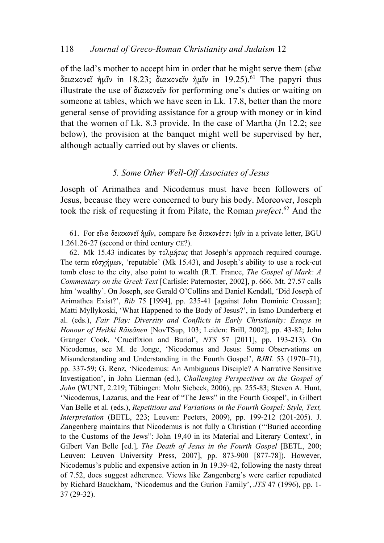of the lad's mother to accept him in order that he might serve them (εἵνα δειακονεῖ ἡμῖν in 18.23; διακονεῖν ἡμῖν in 19.25).<sup>61</sup> The papyri thus illustrate the use of διακονεῖν for performing one's duties or waiting on someone at tables, which we have seen in Lk. 17.8, better than the more general sense of providing assistance for a group with money or in kind that the women of Lk. 8.3 provide. In the case of Martha (Jn 12.2; see below), the provision at the banquet might well be supervised by her, although actually carried out by slaves or clients.

## *5. Some Other Well-Off Associates of Jesus*

Joseph of Arimathea and Nicodemus must have been followers of Jesus, because they were concerned to bury his body. Moreover, Joseph took the risk of requesting it from Pilate, the Roman *prefect*. <sup>62</sup> And the

61. For εἵνα δειακονεῖ ἡµῖν, compare ἵνα διακονέσσι ἱµῖν in a private letter, BGU 1.261.26-27 (second or third century CE?).

62. Mk 15.43 indicates by τολµήσας that Joseph's approach required courage. The term εὐσχήμων, 'reputable' (Mk 15.43), and Joseph's ability to use a rock-cut tomb close to the city, also point to wealth (R.T. France, *The Gospel of Mark: A Commentary on the Greek Text* [Carlisle: Paternoster, 2002], p. 666. Mt. 27.57 calls him 'wealthy'. On Joseph, see Gerald O'Collins and Daniel Kendall, 'Did Joseph of Arimathea Exist?', *Bib* 75 [1994], pp. 235-41 [against John Dominic Crossan]; Matti Myllykoski, 'What Happened to the Body of Jesus?', in Ismo Dunderberg et al. (eds.), *Fair Play: Diversity and Conflicts in Early Christianity: Essays in Honour of Heikki Räisänen* [NovTSup, 103; Leiden: Brill, 2002], pp. 43-82; John Granger Cook, 'Crucifixion and Burial', *NTS* 57 [2011], pp. 193-213). On Nicodemus, see M. de Jonge, 'Nicodemus and Jesus: Some Observations on Misunderstanding and Understanding in the Fourth Gospel', *BJRL* 53 (1970–71), pp. 337-59; G. Renz, 'Nicodemus: An Ambiguous Disciple? A Narrative Sensitive Investigation', in John Lierman (ed.), *Challenging Perspectives on the Gospel of John* (WUNT, 2.219; Tübingen: Mohr Siebeck, 2006), pp. 255-83; Steven A. Hunt, 'Nicodemus, Lazarus, and the Fear of "The Jews" in the Fourth Gospel', in Gilbert Van Belle et al. (eds.), *Repetitions and Variations in the Fourth Gospel: Style, Text, Interpretation* (BETL, 223; Leuven: Peeters, 2009), pp. 199-212 (201-205). J. Zangenberg maintains that Nicodemus is not fully a Christian ('"Buried according to the Customs of the Jews": John 19,40 in its Material and Literary Context', in Gilbert Van Belle [ed.], *The Death of Jesus in the Fourth Gospel* [BETL, 200; Leuven: Leuven University Press, 2007], pp. 873-900 [877-78]). However, Nicodemus's public and expensive action in Jn 19.39-42, following the nasty threat of 7.52, does suggest adherence. Views like Zangenberg's were earlier repudiated by Richard Bauckham, 'Nicodemus and the Gurion Family', *JTS* 47 (1996), pp. 1- 37 (29-32).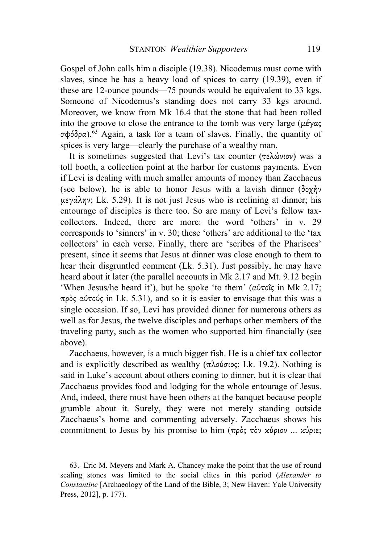Gospel of John calls him a disciple (19.38). Nicodemus must come with slaves, since he has a heavy load of spices to carry (19.39), even if these are 12-ounce pounds—75 pounds would be equivalent to 33 kgs. Someone of Nicodemus's standing does not carry 33 kgs around. Moreover, we know from Mk 16.4 that the stone that had been rolled into the groove to close the entrance to the tomb was very large ( $\mu \acute{\epsilon} \gamma \alpha \varsigma$ ) σφόδρα).63 Again, a task for a team of slaves. Finally, the quantity of spices is very large—clearly the purchase of a wealthy man.

It is sometimes suggested that Levi's tax counter (τελώνιον) was a toll booth, a collection point at the harbor for customs payments. Even if Levi is dealing with much smaller amounts of money than Zacchaeus (see below), he is able to honor Jesus with a lavish dinner (δοχήν µεγάλην; Lk. 5.29). It is not just Jesus who is reclining at dinner; his entourage of disciples is there too. So are many of Levi's fellow taxcollectors. Indeed, there are more: the word 'others' in v. 29 corresponds to 'sinners' in v. 30; these 'others' are additional to the 'tax collectors' in each verse. Finally, there are 'scribes of the Pharisees' present, since it seems that Jesus at dinner was close enough to them to hear their disgruntled comment (Lk. 5.31). Just possibly, he may have heard about it later (the parallel accounts in Mk 2.17 and Mt. 9.12 begin 'When Jesus/he heard it'), but he spoke 'to them' (αὐτοῖς in Mk 2.17; πρὸς αὐτούς in Lk. 5.31), and so it is easier to envisage that this was a single occasion. If so, Levi has provided dinner for numerous others as well as for Jesus, the twelve disciples and perhaps other members of the traveling party, such as the women who supported him financially (see above).

Zacchaeus, however, is a much bigger fish. He is a chief tax collector and is explicitly described as wealthy ( $\pi \lambda$ ούσιος; Lk. 19.2). Nothing is said in Luke's account about others coming to dinner, but it is clear that Zacchaeus provides food and lodging for the whole entourage of Jesus. And, indeed, there must have been others at the banquet because people grumble about it. Surely, they were not merely standing outside Zacchaeus's home and commenting adversely. Zacchaeus shows his commitment to Jesus by his promise to him (πρὸς τὸν κύριον ... κύριε;

63. Eric M. Meyers and Mark A. Chancey make the point that the use of round sealing stones was limited to the social elites in this period (*Alexander to Constantine* [Archaeology of the Land of the Bible, 3; New Haven: Yale University Press, 2012], p. 177).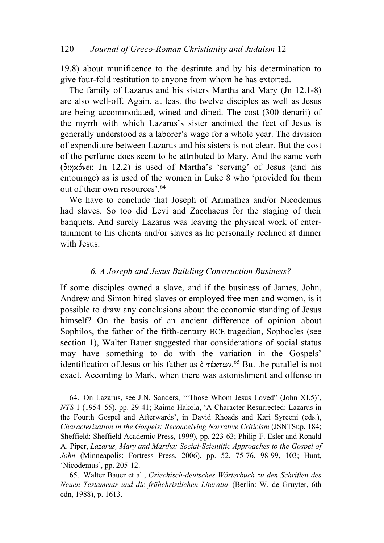19.8) about munificence to the destitute and by his determination to give four-fold restitution to anyone from whom he has extorted.

The family of Lazarus and his sisters Martha and Mary (Jn 12.1-8) are also well-off. Again, at least the twelve disciples as well as Jesus are being accommodated, wined and dined. The cost (300 denarii) of the myrrh with which Lazarus's sister anointed the feet of Jesus is generally understood as a laborer's wage for a whole year. The division of expenditure between Lazarus and his sisters is not clear. But the cost of the perfume does seem to be attributed to Mary. And the same verb (διηκόνει; Jn 12.2) is used of Martha's 'serving' of Jesus (and his entourage) as is used of the women in Luke 8 who 'provided for them out of their own resources'.64

We have to conclude that Joseph of Arimathea and/or Nicodemus had slaves. So too did Levi and Zacchaeus for the staging of their banquets. And surely Lazarus was leaving the physical work of entertainment to his clients and/or slaves as he personally reclined at dinner with Jesus.

## *6. A Joseph and Jesus Building Construction Business?*

If some disciples owned a slave, and if the business of James, John, Andrew and Simon hired slaves or employed free men and women, is it possible to draw any conclusions about the economic standing of Jesus himself? On the basis of an ancient difference of opinion about Sophilos, the father of the fifth-century BCE tragedian, Sophocles (see section 1), Walter Bauer suggested that considerations of social status may have something to do with the variation in the Gospels' identification of Jesus or his father as ὁ τέκτων. <sup>65</sup> But the parallel is not exact. According to Mark, when there was astonishment and offense in

64. On Lazarus, see J.N. Sanders, '"Those Whom Jesus Loved" (John XI.5)', *NTS* 1 (1954–55), pp. 29-41; Raimo Hakola, 'A Character Resurrected: Lazarus in the Fourth Gospel and Afterwards', in David Rhoads and Kari Syreeni (eds.), *Characterization in the Gospels: Reconceiving Narrative Criticism* (JSNTSup, 184; Sheffield: Sheffield Academic Press, 1999), pp. 223-63; Philip F. Esler and Ronald A. Piper, *Lazarus, Mary and Martha: Social-Scientific Approaches to the Gospel of John* (Minneapolis: Fortress Press, 2006), pp. 52, 75-76, 98-99, 103; Hunt, 'Nicodemus', pp. 205-12.

65. Walter Bauer et al., *Griechisch-deutsches Wörterbuch zu den Schriften des Neuen Testaments und die frühchristlichen Literatur* (Berlin: W. de Gruyter, 6th edn, 1988), p. 1613.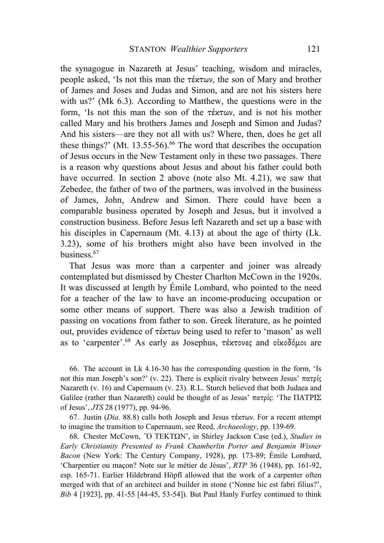the synagogue in Nazareth at Jesus' teaching, wisdom and miracles, people asked, 'Is not this man the τέκτων, the son of Mary and brother of James and Joses and Judas and Simon, and are not his sisters here with us?' (Mk 6.3). According to Matthew, the questions were in the form, 'Is not this man the son of the  $\tau \notin \mathcal{H}(\omega)$ , and is not his mother called Mary and his brothers James and Joseph and Simon and Judas? And his sisters—are they not all with us? Where, then, does he get all these things?' (Mt. 13.55-56). $^{66}$  The word that describes the occupation of Jesus occurs in the New Testament only in these two passages. There is a reason why questions about Jesus and about his father could both have occurred. In section 2 above (note also Mt. 4.21), we saw that Zebedee, the father of two of the partners, was involved in the business of James, John, Andrew and Simon. There could have been a comparable business operated by Joseph and Jesus, but it involved a construction business. Before Jesus left Nazareth and set up a base with his disciples in Capernaum (Mt. 4.13) at about the age of thirty (Lk. 3.23), some of his brothers might also have been involved in the business.67

That Jesus was more than a carpenter and joiner was already contemplated but dismissed by Chester Charlton McCown in the 1920s. It was discussed at length by Émile Lombard, who pointed to the need for a teacher of the law to have an income-producing occupation or some other means of support. There was also a Jewish tradition of passing on vocations from father to son. Greek literature, as he pointed out, provides evidence of τέκτων being used to refer to 'mason' as well as to 'carpenter'.<sup>68</sup> As early as Josephus, τέκτονες and οἰκοδόμοι are

66. The account in Lk 4.16-30 has the corresponding question in the form, 'Is not this man Joseph's son?' (v. 22). There is explicit rivalry between Jesus' πατρίς Nazareth (v. 16) and Capernaum (v. 23). R.L. Sturch believed that both Judaea and Galilee (rather than Nazareth) could be thought of as Jesus' πατρίς: 'The ΠΑΤΡΙΣ of Jesus', *JTS* 28 (1977), pp. 94-96.

67. Justin (*Dia.* 88.8) calls both Joseph and Jesus τέκτων. For a recent attempt to imagine the transition to Capernaum, see Reed, *Archaeology*, pp. 139-69.

68. Chester McCown, ῾Ὁ ΤEΚΤΩΝ', in Shirley Jackson Case (ed.), *Studies in Early Christianity Presented to Frank Chamberlin Porter and Benjamin Wisner Bacon* (New York: The Century Company, 1928), pp. 173-89; Émile Lombard, 'Charpentier ou maçon? Note sur le métier de Jésus', *RTP* 36 (1948), pp. 161-92, esp. 165-71. Earlier Hildebrand Höpfl allowed that the work of a carpenter often merged with that of an architect and builder in stone ('Nonne hic est fabri filius?', *Bib* 4 [1923], pp. 41-55 [44-45, 53-54]). But Paul Hanly Furfey continued to think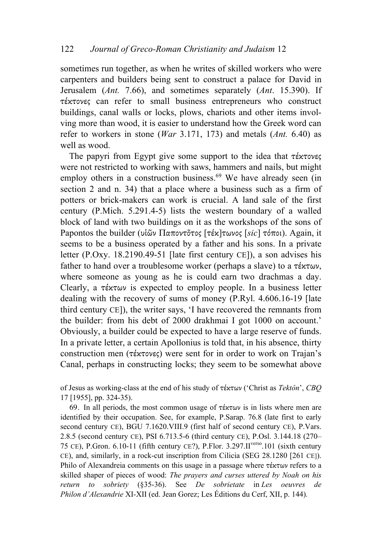sometimes run together, as when he writes of skilled workers who were carpenters and builders being sent to construct a palace for David in Jerusalem (*Ant.* 7.66), and sometimes separately (*Ant*. 15.390). If τέκτονες can refer to small business entrepreneurs who construct buildings, canal walls or locks, plows, chariots and other items involving more than wood, it is easier to understand how the Greek word can refer to workers in stone (*War* 3.171, 173) and metals (*Ant.* 6.40) as well as wood.

The papyri from Egypt give some support to the idea that τέκτονες were not restricted to working with saws, hammers and nails, but might employ others in a construction business.<sup>69</sup> We have already seen (in section 2 and n. 34) that a place where a business such as a firm of potters or brick-makers can work is crucial. A land sale of the first century (P.Mich. 5.291.4-5) lists the western boundary of a walled block of land with two buildings on it as the workshops of the sons of Papontos the builder (υἱῶν Παποντο̃τος [τέκ]τωνος [*sic*] τόποι). Again, it seems to be a business operated by a father and his sons. In a private letter (P.Oxy. 18.2190.49-51 [late first century CE]), a son advises his father to hand over a troublesome worker (perhaps a slave) to a  $\tau \xi \kappa \tau \omega \nu$ , where someone as young as he is could earn two drachmas a day. Clearly, a τέκτων is expected to employ people. In a business letter dealing with the recovery of sums of money (P.Ryl. 4.606.16-19 [late third century CE]), the writer says, 'I have recovered the remnants from the builder: from his debt of 2000 drakhmai I got 1000 on account.' Obviously, a builder could be expected to have a large reserve of funds. In a private letter, a certain Apollonius is told that, in his absence, thirty construction men (τέκτονες) were sent for in order to work on Trajan's Canal, perhaps in constructing locks; they seem to be somewhat above

of Jesus as working-class at the end of his study of τέκτων ('Christ as *Tektôn*', *CBQ* 17 [1955], pp. 324-35).

69. In all periods, the most common usage of  $\tau \notin \mathcal{K} \cup \mathcal{K}$  is in lists where men are identified by their occupation. See, for example, P.Sarap. 76.8 (late first to early second century CE), BGU 7.1620. VIII.9 (first half of second century CE), P. Vars. 2.8.5 (second century CE), PSI 6.713.5-6 (third century CE), P.Osl. 3.144.18 (270– 75 CE), P.Gron. 6.10-11 (fifth century CE?), P.Flor. 3.297.II<sup>verso</sup>.101 (sixth century CE), and, similarly, in a rock-cut inscription from Cilicia (SEG 28.1280 [261 CE]). Philo of Alexandreia comments on this usage in a passage where τέκτων refers to a skilled shaper of pieces of wood: *The prayers and curses uttered by Noah on his return to sobriety* (§35-36). See *De sobrietate* in *Les oeuvres de Philon d'Alexandrie* XI-XII (ed. Jean Gorez; Les Éditions du Cerf, XII, p. 144)*.*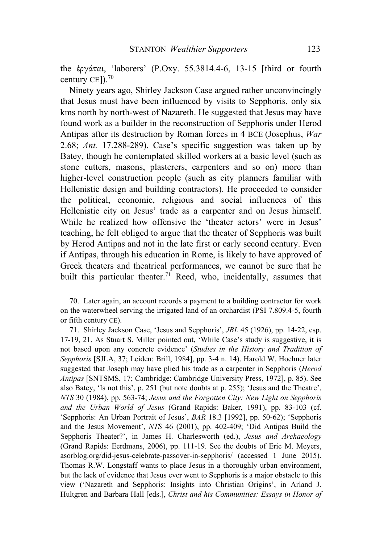the ἐργάται, 'laborers' (P.Oxy. 55.3814.4-6, 13-15 [third or fourth century CE]).<sup>70</sup>

Ninety years ago, Shirley Jackson Case argued rather unconvincingly that Jesus must have been influenced by visits to Sepphoris, only six kms north by north-west of Nazareth. He suggested that Jesus may have found work as a builder in the reconstruction of Sepphoris under Herod Antipas after its destruction by Roman forces in 4 BCE (Josephus, *War* 2.68; *Ant.* 17.288-289). Case's specific suggestion was taken up by Batey, though he contemplated skilled workers at a basic level (such as stone cutters, masons, plasterers, carpenters and so on) more than higher-level construction people (such as city planners familiar with Hellenistic design and building contractors). He proceeded to consider the political, economic, religious and social influences of this Hellenistic city on Jesus' trade as a carpenter and on Jesus himself. While he realized how offensive the 'theater actors' were in Jesus' teaching, he felt obliged to argue that the theater of Sepphoris was built by Herod Antipas and not in the late first or early second century. Even if Antipas, through his education in Rome, is likely to have approved of Greek theaters and theatrical performances, we cannot be sure that he built this particular theater. <sup>71</sup> Reed, who, incidentally, assumes that

70. Later again, an account records a payment to a building contractor for work on the waterwheel serving the irrigated land of an orchardist (PSI 7.809.4-5, fourth or fifth century CE).

71. Shirley Jackson Case, 'Jesus and Sepphoris', *JBL* 45 (1926), pp. 14-22, esp. 17-19, 21. As Stuart S. Miller pointed out, 'While Case's study is suggestive, it is not based upon any concrete evidence' (*Studies in the History and Tradition of Sepphoris* [SJLA, 37; Leiden: Brill, 1984], pp. 3-4 n. 14). Harold W. Hoehner later suggested that Joseph may have plied his trade as a carpenter in Sepphoris (*Herod Antipas* [SNTSMS, 17; Cambridge: Cambridge University Press, 1972], p. 85). See also Batey, 'Is not this', p. 251 (but note doubts at p. 255); 'Jesus and the Theatre', *NTS* 30 (1984), pp. 563-74; *Jesus and the Forgotten City: New Light on Sepphoris and the Urban World of Jesus* (Grand Rapids: Baker, 1991), pp. 83-103 (cf. 'Sepphoris: An Urban Portrait of Jesus', *BAR* 18.3 [1992], pp. 50-62); 'Sepphoris and the Jesus Movement', *NTS* 46 (2001), pp. 402-409; 'Did Antipas Build the Sepphoris Theater?', in James H. Charlesworth (ed.), *Jesus and Archaeology* (Grand Rapids: Eerdmans, 2006), pp. 111-19. See the doubts of Eric M. Meyers, asorblog.org/did-jesus-celebrate-passover-in-sepphoris/ (accessed 1 June 2015). Thomas R.W. Longstaff wants to place Jesus in a thoroughly urban environment, but the lack of evidence that Jesus ever went to Sepphoris is a major obstacle to this view ('Nazareth and Sepphoris: Insights into Christian Origins', in Arland J. Hultgren and Barbara Hall [eds.], *Christ and his Communities: Essays in Honor of*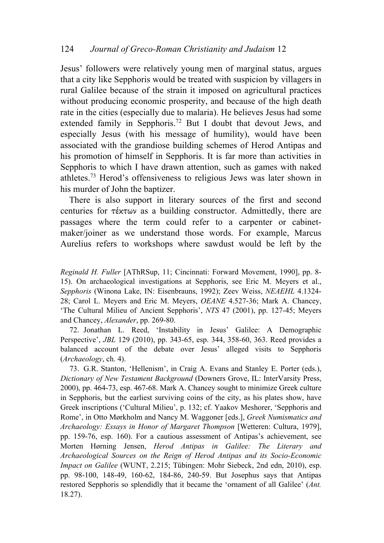Jesus' followers were relatively young men of marginal status, argues that a city like Sepphoris would be treated with suspicion by villagers in rural Galilee because of the strain it imposed on agricultural practices without producing economic prosperity, and because of the high death rate in the cities (especially due to malaria). He believes Jesus had some extended family in Sepphoris.<sup>72</sup> But I doubt that devout Jews, and especially Jesus (with his message of humility), would have been associated with the grandiose building schemes of Herod Antipas and his promotion of himself in Sepphoris. It is far more than activities in Sepphoris to which I have drawn attention, such as games with naked athletes.73 Herod's offensiveness to religious Jews was later shown in his murder of John the baptizer.

There is also support in literary sources of the first and second centuries for τέκτων as a building constructor. Admittedly, there are passages where the term could refer to a carpenter or cabinetmaker/joiner as we understand those words. For example, Marcus Aurelius refers to workshops where sawdust would be left by the

*Reginald H. Fuller* [AThRSup, 11; Cincinnati: Forward Movement, 1990], pp. 8- 15). On archaeological investigations at Sepphoris, see Eric M. Meyers et al., *Sepphoris* (Winona Lake, IN: Eisenbrauns, 1992); Zeev Weiss, *NEAEHL* 4.1324- 28; Carol L. Meyers and Eric M. Meyers, *OEANE* 4.527-36; Mark A. Chancey, 'The Cultural Milieu of Ancient Sepphoris', *NTS* 47 (2001), pp. 127-45; Meyers and Chancey, *Alexander*, pp. 269-80.

72. Jonathan L. Reed, 'Instability in Jesus' Galilee: A Demographic Perspective', *JBL* 129 (2010), pp. 343-65, esp. 344, 358-60, 363. Reed provides a balanced account of the debate over Jesus' alleged visits to Sepphoris (*Archaeology*, ch. 4).

73. G.R. Stanton, 'Hellenism', in Craig A. Evans and Stanley E. Porter (eds.), *Dictionary of New Testament Background* (Downers Grove, IL: InterVarsity Press, 2000), pp. 464-73, esp. 467-68. Mark A. Chancey sought to minimize Greek culture in Sepphoris, but the earliest surviving coins of the city, as his plates show, have Greek inscriptions ('Cultural Milieu', p. 132; cf. Yaakov Meshorer, 'Sepphoris and Rome', in Otto Mørkholm and Nancy M. Waggoner [eds.], *Greek Numismatics and Archaeology: Essays in Honor of Margaret Thompson* [Wetteren: Cultura, 1979], pp. 159-76, esp. 160). For a cautious assessment of Antipas's achievement, see Morten Hørning Jensen, *Herod Antipas in Galilee: The Literary and Archaeological Sources on the Reign of Herod Antipas and its Socio-Economic Impact on Galilee* (WUNT, 2.215; Tübingen: Mohr Siebeck, 2nd edn, 2010), esp. pp. 98-100, 148-49, 160-62, 184-86, 240-59. But Josephus says that Antipas restored Sepphoris so splendidly that it became the 'ornament of all Galilee' (*Ant.* 18.27).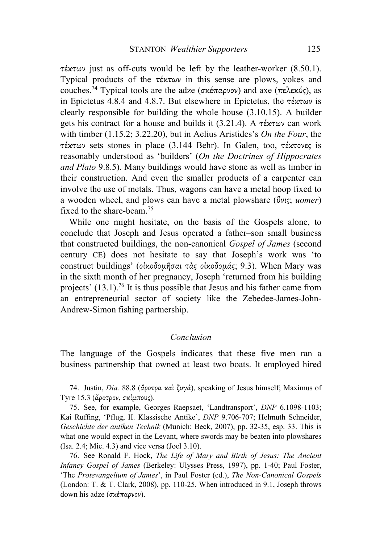τέκτων just as off-cuts would be left by the leather-worker (8.50.1). Typical products of the τέκτων in this sense are plows, yokes and couches.74 Typical tools are the adze (σκέπαρνον) and axe (πελεκύς), as in Epictetus 4.8.4 and 4.8.7. But elsewhere in Epictetus, the τέκτων is clearly responsible for building the whole house (3.10.15). A builder gets his contract for a house and builds it  $(3.21.4)$ . A  $\tau \in \mathcal{K} \cap \mathcal{K}$  can work with timber (1.15.2; 3.22.20), but in Aelius Aristides's *On the Four*, the τέκτων sets stones in place (3.144 Behr). In Galen, too, τέκτονες is reasonably understood as 'builders' (*On the Doctrines of Hippocrates and Plato* 9.8.5). Many buildings would have stone as well as timber in their construction. And even the smaller products of a carpenter can involve the use of metals. Thus, wagons can have a metal hoop fixed to a wooden wheel, and plows can have a metal plowshare (ὕνις; *uomer*) fixed to the share-beam.75

While one might hesitate, on the basis of the Gospels alone, to conclude that Joseph and Jesus operated a father–son small business that constructed buildings, the non-canonical *Gospel of James* (second century CE) does not hesitate to say that Joseph's work was 'to construct buildings' (οἰκοδοµῆσαι τὰς οἰκοδοµάς; 9.3). When Mary was in the sixth month of her pregnancy, Joseph 'returned from his building projects' (13.1).76 It is thus possible that Jesus and his father came from an entrepreneurial sector of society like the Zebedee-James-John-Andrew-Simon fishing partnership.

## *Conclusion*

The language of the Gospels indicates that these five men ran a business partnership that owned at least two boats. It employed hired

74. Justin, *Dia.* 88.8 (ἄροτρα καὶ ζυγά), speaking of Jesus himself; Maximus of Tyre 15.3 (ἄροτρον, σκίµπους).

75. See, for example, Georges Raepsaet, 'Landtransport', *DNP* 6.1098-1103; Kai Ruffing, 'Pflug, II. Klassische Antike', *DNP* 9.706-707; Helmuth Schneider, *Geschichte der antiken Technik* (Munich: Beck, 2007), pp. 32-35, esp. 33. This is what one would expect in the Levant, where swords may be beaten into plowshares (Isa. 2.4; Mic. 4.3) and vice versa (Joel 3.10).

76. See Ronald F. Hock, *The Life of Mary and Birth of Jesus: The Ancient Infancy Gospel of James* (Berkeley: Ulysses Press, 1997), pp. 1-40; Paul Foster, 'The *Protevangelium of James*', in Paul Foster (ed.), *The Non-Canonical Gospels* (London: T. & T. Clark, 2008), pp. 110-25. When introduced in 9.1, Joseph throws down his adze (σκέπαρνον).